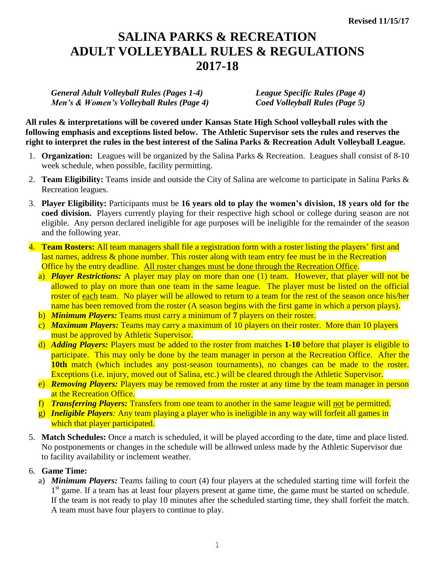## **SALINA PARKS & RECREATION ADULT VOLLEYBALL RULES & REGULATIONS 2017-18**

*General Adult Volleyball Rules (Pages 1-4) League Specific Rules (Page 4) Men's & Women's Volleyball Rules (Page 4) Coed Volleyball Rules (Page 5)*

**All rules & interpretations will be covered under Kansas State High School volleyball rules with the following emphasis and exceptions listed below. The Athletic Supervisor sets the rules and reserves the right to interpret the rules in the best interest of the Salina Parks & Recreation Adult Volleyball League.**

- 1. **Organization:** Leagues will be organized by the Salina Parks & Recreation. Leagues shall consist of 8-10 week schedule, when possible, facility permitting.
- 2. **Team Eligibility:** Teams inside and outside the City of Salina are welcome to participate in Salina Parks & Recreation leagues.
- 3. **Player Eligibility:** Participants must be **16 years old to play the women's division, 18 years old for the coed division.** Players currently playing for their respective high school or college during season are not eligible. Any person declared ineligible for age purposes will be ineligible for the remainder of the season and the following year.
- 4. **Team Rosters:** All team managers shall file a registration form with a roster listing the players' first and last names, address & phone number. This roster along with team entry fee must be in the Recreation Office by the entry deadline. All roster changes must be done through the Recreation Office.
	- a) *Player Restrictions:* A player may play on more than one (1) team. However, that player will not be allowed to play on more than one team in the same league. The player must be listed on the official roster of each team. No player will be allowed to return to a team for the rest of the season once his/her name has been removed from the roster (A season begins with the first game in which a person plays).
	- b) *Minimum Players:* Teams must carry a minimum of **7** players on their roster.
	- c) *Maximum Players:* Teams may carry a maximum of 10 players on their roster. More than 10 players must be approved by Athletic Supervisor.
	- d) *Adding Players:* Players must be added to the roster from matches **1-10** before that player is eligible to participate. This may only be done by the team manager in person at the Recreation Office. After the **10th** match (which includes any post-season tournaments), no changes can be made to the roster. Exceptions (i.e. injury, moved out of Salina, etc.) will be cleared through the Athletic Supervisor.
	- e) *Removing Players:* Players may be removed from the roster at any time by the team manager in person at the Recreation Office.
	- f) *Transferring Players:* Transfers from one team to another in the same league will not be permitted.
	- g) *Ineligible Players:* Any team playing a player who is ineligible in any way will forfeit all games in which that player participated.
- 5. **Match Schedules:** Once a match is scheduled, it will be played according to the date, time and place listed. No postponements or changes in the schedule will be allowed unless made by the Athletic Supervisor due to facility availability or inclement weather.

## 6. **Game Time:**

a) *Minimum Players:* Teams failing to court (4) four players at the scheduled starting time will forfeit the 1<sup>st</sup> game. If a team has at least four players present at game time, the game must be started on schedule. If the team is not ready to play 10 minutes after the scheduled starting time, they shall forfeit the match. A team must have four players to continue to play.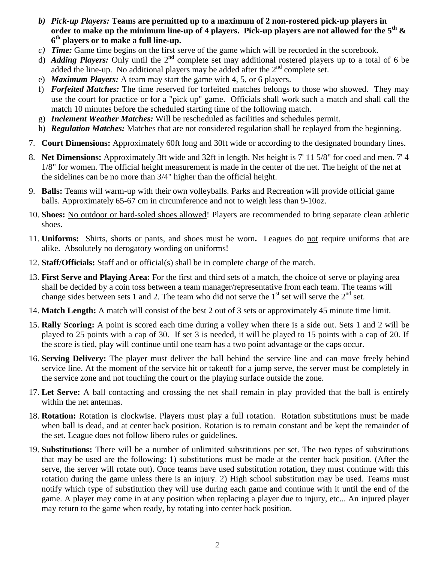- *b) Pick-up Players:* **Teams are permitted up to a maximum of 2 non-rostered pick-up players in order to make up the minimum line-up of 4 players. Pick-up players are not allowed for the 5th & 6 th players or to make a full line-up.**
- *c) Time:* Game time begins on the first serve of the game which will be recorded in the scorebook.
- d) *Adding Players:* Only until the  $2^{nd}$  complete set may additional rostered players up to a total of 6 be added the line-up. No additional players may be added after the  $2<sup>nd</sup>$  complete set.
- e) *Maximum Players:* A team may start the game with 4, 5, or 6 players.
- f) *Forfeited Matches:* The time reserved for forfeited matches belongs to those who showed. They may use the court for practice or for a "pick up" game.Officials shall work such a match and shall call the match 10 minutes before the scheduled starting time of the following match.
- g) *Inclement Weather Matches:* Will be rescheduled as facilities and schedules permit.
- h) *Regulation Matches:* Matches that are not considered regulation shall be replayed from the beginning.
- 7. **Court Dimensions:** Approximately 60ft long and 30ft wide or according to the designated boundary lines.
- 8. **Net Dimensions:** Approximately 3ft wide and 32ft in length. Net height is 7' 11 5/8" for coed and men. 7' 4 1/8" for women. The official height measurement is made in the center of the net. The height of the net at the sidelines can be no more than 3/4" higher than the official height.
- 9. **Balls:** Teams will warm-up with their own volleyballs. Parks and Recreation will provide official game balls. Approximately 65-67 cm in circumference and not to weigh less than 9-10oz.
- 10. **Shoes:** No outdoor or hard-soled shoes allowed! Players are recommended to bring separate clean athletic shoes.
- 11. **Uniforms:** Shirts, shorts or pants, and shoes must be worn**.** Leagues do not require uniforms that are alike. Absolutely no derogatory wording on uniforms!
- 12. **Staff/Officials:** Staff and or official(s) shall be in complete charge of the match.
- 13. **First Serve and Playing Area:** For the first and third sets of a match, the choice of serve or playing area shall be decided by a coin toss between a team manager/representative from each team. The teams will change sides between sets 1 and 2. The team who did not serve the  $1<sup>st</sup>$  set will serve the  $2<sup>nd</sup>$  set.
- 14. **Match Length:** A match will consist of the best 2 out of 3 sets or approximately 45 minute time limit.
- 15. **Rally Scoring:** A point is scored each time during a volley when there is a side out. Sets 1 and 2 will be played to 25 points with a cap of 30. If set 3 is needed, it will be played to 15 points with a cap of 20. If the score is tied, play will continue until one team has a two point advantage or the caps occur.
- 16. **Serving Delivery:** The player must deliver the ball behind the service line and can move freely behind service line. At the moment of the service hit or takeoff for a jump serve, the server must be completely in the service zone and not touching the court or the playing surface outside the zone.
- 17. **Let Serve:** A ball contacting and crossing the net shall remain in play provided that the ball is entirely within the net antennas.
- 18. **Rotation:** Rotation is clockwise. Players must play a full rotation. Rotation substitutions must be made when ball is dead, and at center back position. Rotation is to remain constant and be kept the remainder of the set. League does not follow libero rules or guidelines.
- 19. **Substitutions:** There will be a number of unlimited substitutions per set. The two types of substitutions that may be used are the following: 1) substitutions must be made at the center back position. (After the serve, the server will rotate out). Once teams have used substitution rotation, they must continue with this rotation during the game unless there is an injury. 2) High school substitution may be used. Teams must notify which type of substitution they will use during each game and continue with it until the end of the game. A player may come in at any position when replacing a player due to injury, etc... An injured player may return to the game when ready, by rotating into center back position.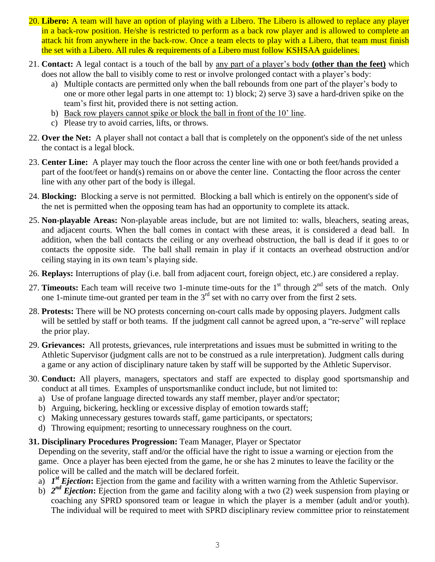- 20. **Libero:** A team will have an option of playing with a Libero. The Libero is allowed to replace any player in a back-row position. He/she is restricted to perform as a back row player and is allowed to complete an attack hit from anywhere in the back-row. Once a team elects to play with a Libero, that team must finish the set with a Libero. All rules & requirements of a Libero must follow KSHSAA guidelines.
- 21. **Contact:** A legal contact is a touch of the ball by any part of a player's body **(other than the feet)** which does not allow the ball to visibly come to rest or involve prolonged contact with a player's body:
	- a) Multiple contacts are permitted only when the ball rebounds from one part of the player's body to one or more other legal parts in one attempt to: 1) block; 2) serve 3) save a hard-driven spike on the team's first hit, provided there is not setting action.
	- b) Back row players cannot spike or block the ball in front of the 10' line.
	- c) Please try to avoid carries, lifts, or throws.
- 22. **Over the Net:** A player shall not contact a ball that is completely on the opponent's side of the net unless the contact is a legal block.
- 23. **Center Line:** A player may touch the floor across the center line with one or both feet/hands provided a part of the foot/feet or hand(s) remains on or above the center line. Contacting the floor across the center line with any other part of the body is illegal.
- 24. **Blocking:** Blocking a serve is not permitted. Blocking a ball which is entirely on the opponent's side of the net is permitted when the opposing team has had an opportunity to complete its attack.
- 25. **Non-playable Areas:** Non-playable areas include, but are not limited to: walls, bleachers, seating areas, and adjacent courts. When the ball comes in contact with these areas, it is considered a dead ball. In addition, when the ball contacts the ceiling or any overhead obstruction, the ball is dead if it goes to or contacts the opposite side. The ball shall remain in play if it contacts an overhead obstruction and/or ceiling staying in its own team's playing side.
- 26. **Replays:** Interruptions of play (i.e. ball from adjacent court, foreign object, etc.) are considered a replay.
- 27. **Timeouts:** Each team will receive two 1-minute time-outs for the 1<sup>st</sup> through 2<sup>nd</sup> sets of the match. Only one 1-minute time-out granted per team in the  $3<sup>rd</sup>$  set with no carry over from the first 2 sets.
- 28. **Protests:** There will be NO protests concerning on-court calls made by opposing players. Judgment calls will be settled by staff or both teams. If the judgment call cannot be agreed upon, a "re-serve" will replace the prior play.
- 29. **Grievances:** All protests, grievances, rule interpretations and issues must be submitted in writing to the Athletic Supervisor (judgment calls are not to be construed as a rule interpretation). Judgment calls during a game or any action of disciplinary nature taken by staff will be supported by the Athletic Supervisor.
- 30. **Conduct:** All players, managers, spectators and staff are expected to display good sportsmanship and conduct at all times. Examples of unsportsmanlike conduct include, but not limited to:
	- a) Use of profane language directed towards any staff member, player and/or spectator;
	- b) Arguing, bickering, heckling or excessive display of emotion towards staff;
	- c) Making unnecessary gestures towards staff, game participants, or spectators;
	- d) Throwing equipment; resorting to unnecessary roughness on the court.

## **31. Disciplinary Procedures Progression:** Team Manager, Player or Spectator

Depending on the severity, staff and/or the official have the right to issue a warning or ejection from the game. Once a player has been ejected from the game, he or she has 2 minutes to leave the facility or the police will be called and the match will be declared forfeit.

- a) *1 st Ejection***:** Ejection from the game and facility with a written warning from the Athletic Supervisor.
- b)  $2^{nd}$  *Ejection*: Ejection from the game and facility along with a two (2) week suspension from playing or coaching any SPRD sponsored team or league in which the player is a member (adult and/or youth). The individual will be required to meet with SPRD disciplinary review committee prior to reinstatement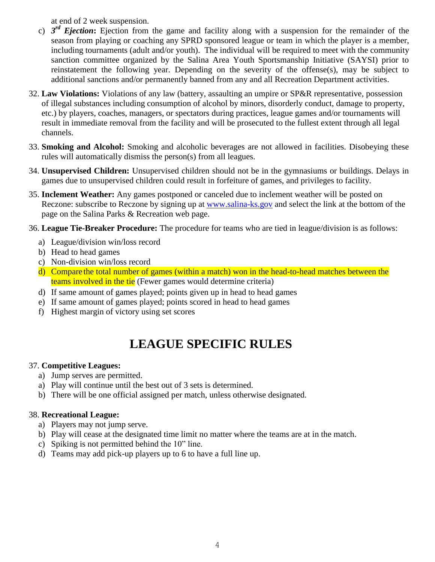at end of 2 week suspension.

- c) *3 rd Ejection***:** Ejection from the game and facility along with a suspension for the remainder of the season from playing or coaching any SPRD sponsored league or team in which the player is a member, including tournaments (adult and/or youth). The individual will be required to meet with the community sanction committee organized by the Salina Area Youth Sportsmanship Initiative (SAYSI) prior to reinstatement the following year. Depending on the severity of the offense(s), may be subject to additional sanctions and/or permanently banned from any and all Recreation Department activities.
- 32. **Law Violations:** Violations of any law (battery, assaulting an umpire or SP&R representative, possession of illegal substances including consumption of alcohol by minors, disorderly conduct, damage to property, etc.) by players, coaches, managers, or spectators during practices, league games and/or tournaments will result in immediate removal from the facility and will be prosecuted to the fullest extent through all legal channels.
- 33. **Smoking and Alcohol:** Smoking and alcoholic beverages are not allowed in facilities. Disobeying these rules will automatically dismiss the person(s) from all leagues.
- 34. **Unsupervised Children:** Unsupervised children should not be in the gymnasiums or buildings. Delays in games due to unsupervised children could result in forfeiture of games, and privileges to facility.
- 35. **Inclement Weather:** Any games postponed or canceled due to inclement weather will be posted on Reczone: subscribe to Reczone by signing up at [www.salina-ks.gov](http://www.salina-ks.gov/) and select the link at the bottom of the page on the Salina Parks & Recreation web page.
- 36. **League Tie-Breaker Procedure:** The procedure for teams who are tied in league/division is as follows:
	- a) League/division win/loss record
	- b) Head to head games
	- c) Non-division win/loss record
	- d) Compare the total number of games (within a match) won in the head-to-head matches between the teams involved in the tie (Fewer games would determine criteria)
	- d) If same amount of games played; points given up in head to head games
	- e) If same amount of games played; points scored in head to head games
	- f) Highest margin of victory using set scores

# **LEAGUE SPECIFIC RULES**

## 37. **Competitive Leagues:**

- a) Jump serves are permitted.
- a) Play will continue until the best out of 3 sets is determined.
- b) There will be one official assigned per match, unless otherwise designated.

## 38. **Recreational League:**

- a) Players may not jump serve.
- b) Play will cease at the designated time limit no matter where the teams are at in the match.
- c) Spiking is not permitted behind the 10" line.
- d) Teams may add pick-up players up to 6 to have a full line up.